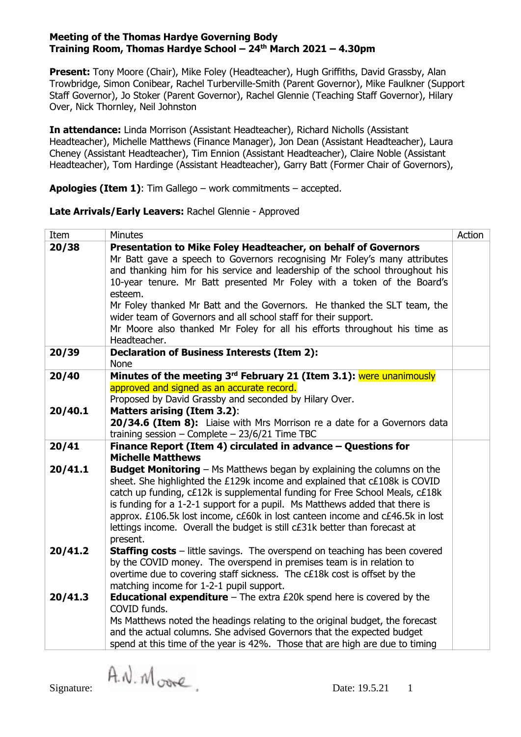**Present:** Tony Moore (Chair), Mike Foley (Headteacher), Hugh Griffiths, David Grassby, Alan Trowbridge, Simon Conibear, Rachel Turberville-Smith (Parent Governor), Mike Faulkner (Support Staff Governor), Jo Stoker (Parent Governor), Rachel Glennie (Teaching Staff Governor), Hilary Over, Nick Thornley, Neil Johnston

**In attendance:** Linda Morrison (Assistant Headteacher), Richard Nicholls (Assistant Headteacher), Michelle Matthews (Finance Manager), Jon Dean (Assistant Headteacher), Laura Cheney (Assistant Headteacher), Tim Ennion (Assistant Headteacher), Claire Noble (Assistant Headteacher), Tom Hardinge (Assistant Headteacher), Garry Batt (Former Chair of Governors),

**Apologies (Item 1)**: Tim Gallego – work commitments – accepted.

**Late Arrivals/Early Leavers:** Rachel Glennie - Approved

| Item                                                                   | <b>Minutes</b>                                                                                                                | Action |  |  |  |
|------------------------------------------------------------------------|-------------------------------------------------------------------------------------------------------------------------------|--------|--|--|--|
| 20/38                                                                  | Presentation to Mike Foley Headteacher, on behalf of Governors                                                                |        |  |  |  |
|                                                                        | Mr Batt gave a speech to Governors recognising Mr Foley's many attributes                                                     |        |  |  |  |
|                                                                        | and thanking him for his service and leadership of the school throughout his                                                  |        |  |  |  |
| 10-year tenure. Mr Batt presented Mr Foley with a token of the Board's |                                                                                                                               |        |  |  |  |
|                                                                        | esteem.                                                                                                                       |        |  |  |  |
|                                                                        | Mr Foley thanked Mr Batt and the Governors. He thanked the SLT team, the                                                      |        |  |  |  |
|                                                                        | wider team of Governors and all school staff for their support.                                                               |        |  |  |  |
|                                                                        | Mr Moore also thanked Mr Foley for all his efforts throughout his time as                                                     |        |  |  |  |
|                                                                        | Headteacher.                                                                                                                  |        |  |  |  |
| 20/39                                                                  | <b>Declaration of Business Interests (Item 2):</b>                                                                            |        |  |  |  |
|                                                                        | <b>None</b>                                                                                                                   |        |  |  |  |
| 20/40                                                                  | Minutes of the meeting 3 <sup>rd</sup> February 21 (Item 3.1): were unanimously<br>approved and signed as an accurate record. |        |  |  |  |
|                                                                        | Proposed by David Grassby and seconded by Hilary Over.                                                                        |        |  |  |  |
| 20/40.1                                                                | <b>Matters arising (Item 3.2):</b>                                                                                            |        |  |  |  |
|                                                                        | 20/34.6 (Item 8): Liaise with Mrs Morrison re a date for a Governors data                                                     |        |  |  |  |
|                                                                        | training session - Complete - $23/6/21$ Time TBC                                                                              |        |  |  |  |
| 20/41                                                                  | Finance Report (Item 4) circulated in advance - Questions for                                                                 |        |  |  |  |
|                                                                        | <b>Michelle Matthews</b>                                                                                                      |        |  |  |  |
| 20/41.1                                                                | <b>Budget Monitoring</b> – Ms Matthews began by explaining the columns on the                                                 |        |  |  |  |
|                                                                        | sheet. She highlighted the £129k income and explained that c£108k is COVID                                                    |        |  |  |  |
|                                                                        | catch up funding, c£12k is supplemental funding for Free School Meals, c£18k                                                  |        |  |  |  |
|                                                                        | is funding for a 1-2-1 support for a pupil. Ms Matthews added that there is                                                   |        |  |  |  |
|                                                                        | approx. £106.5k lost income, c£60k in lost canteen income and c£46.5k in lost                                                 |        |  |  |  |
|                                                                        | lettings income. Overall the budget is still c£31k better than forecast at                                                    |        |  |  |  |
|                                                                        | present.                                                                                                                      |        |  |  |  |
| 20/41.2                                                                | <b>Staffing costs</b> – little savings. The overspend on teaching has been covered                                            |        |  |  |  |
|                                                                        | by the COVID money. The overspend in premises team is in relation to                                                          |        |  |  |  |
|                                                                        | overtime due to covering staff sickness. The c£18k cost is offset by the                                                      |        |  |  |  |
|                                                                        | matching income for 1-2-1 pupil support.                                                                                      |        |  |  |  |
| 20/41.3                                                                | <b>Educational expenditure</b> $-$ The extra £20k spend here is covered by the<br>COVID funds.                                |        |  |  |  |
|                                                                        | Ms Matthews noted the headings relating to the original budget, the forecast                                                  |        |  |  |  |
|                                                                        | and the actual columns. She advised Governors that the expected budget                                                        |        |  |  |  |
|                                                                        | spend at this time of the year is 42%. Those that are high are due to timing                                                  |        |  |  |  |
|                                                                        |                                                                                                                               |        |  |  |  |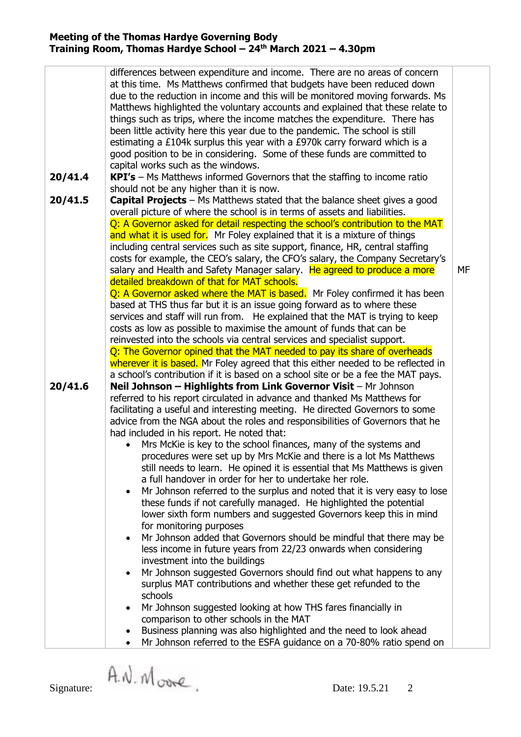| 20/41.4 | differences between expenditure and income. There are no areas of concern<br>at this time. Ms Matthews confirmed that budgets have been reduced down<br>due to the reduction in income and this will be monitored moving forwards. Ms<br>Matthews highlighted the voluntary accounts and explained that these relate to<br>things such as trips, where the income matches the expenditure. There has<br>been little activity here this year due to the pandemic. The school is still<br>estimating a £104k surplus this year with a £970k carry forward which is a<br>good position to be in considering. Some of these funds are committed to<br>capital works such as the windows.                                                                                                                                                                                                                                                                                                                                                                                                                                                                                                                                                                                   |    |  |  |  |
|---------|------------------------------------------------------------------------------------------------------------------------------------------------------------------------------------------------------------------------------------------------------------------------------------------------------------------------------------------------------------------------------------------------------------------------------------------------------------------------------------------------------------------------------------------------------------------------------------------------------------------------------------------------------------------------------------------------------------------------------------------------------------------------------------------------------------------------------------------------------------------------------------------------------------------------------------------------------------------------------------------------------------------------------------------------------------------------------------------------------------------------------------------------------------------------------------------------------------------------------------------------------------------------|----|--|--|--|
|         | $KPI's$ – Ms Matthews informed Governors that the staffing to income ratio<br>should not be any higher than it is now.                                                                                                                                                                                                                                                                                                                                                                                                                                                                                                                                                                                                                                                                                                                                                                                                                                                                                                                                                                                                                                                                                                                                                 |    |  |  |  |
| 20/41.5 | Capital Projects - Ms Matthews stated that the balance sheet gives a good<br>overall picture of where the school is in terms of assets and liabilities.<br>Q: A Governor asked for detail respecting the school's contribution to the MAT                                                                                                                                                                                                                                                                                                                                                                                                                                                                                                                                                                                                                                                                                                                                                                                                                                                                                                                                                                                                                              |    |  |  |  |
|         | and what it is used for. Mr Foley explained that it is a mixture of things<br>including central services such as site support, finance, HR, central staffing<br>costs for example, the CEO's salary, the CFO's salary, the Company Secretary's<br>salary and Health and Safety Manager salary. He agreed to produce a more                                                                                                                                                                                                                                                                                                                                                                                                                                                                                                                                                                                                                                                                                                                                                                                                                                                                                                                                             | MF |  |  |  |
|         | detailed breakdown of that for MAT schools.                                                                                                                                                                                                                                                                                                                                                                                                                                                                                                                                                                                                                                                                                                                                                                                                                                                                                                                                                                                                                                                                                                                                                                                                                            |    |  |  |  |
|         | Q: A Governor asked where the MAT is based. Mr Foley confirmed it has been<br>based at THS thus far but it is an issue going forward as to where these<br>services and staff will run from. He explained that the MAT is trying to keep<br>costs as low as possible to maximise the amount of funds that can be<br>reinvested into the schools via central services and specialist support.                                                                                                                                                                                                                                                                                                                                                                                                                                                                                                                                                                                                                                                                                                                                                                                                                                                                            |    |  |  |  |
|         | Q: The Governor opined that the MAT needed to pay its share of overheads                                                                                                                                                                                                                                                                                                                                                                                                                                                                                                                                                                                                                                                                                                                                                                                                                                                                                                                                                                                                                                                                                                                                                                                               |    |  |  |  |
| 20/41.6 | wherever it is based. Mr Foley agreed that this either needed to be reflected in<br>a school's contribution if it is based on a school site or be a fee the MAT pays.<br>Neil Johnson - Highlights from Link Governor Visit - Mr Johnson                                                                                                                                                                                                                                                                                                                                                                                                                                                                                                                                                                                                                                                                                                                                                                                                                                                                                                                                                                                                                               |    |  |  |  |
|         | referred to his report circulated in advance and thanked Ms Matthews for<br>facilitating a useful and interesting meeting. He directed Governors to some<br>advice from the NGA about the roles and responsibilities of Governors that he<br>had included in his report. He noted that:<br>Mrs McKie is key to the school finances, many of the systems and<br>procedures were set up by Mrs McKie and there is a lot Ms Matthews<br>still needs to learn. He opined it is essential that Ms Matthews is given<br>a full handover in order for her to undertake her role.<br>Mr Johnson referred to the surplus and noted that it is very easy to lose<br>these funds if not carefully managed. He highlighted the potential<br>lower sixth form numbers and suggested Governors keep this in mind<br>for monitoring purposes<br>Mr Johnson added that Governors should be mindful that there may be<br>less income in future years from 22/23 onwards when considering<br>investment into the buildings<br>Mr Johnson suggested Governors should find out what happens to any<br>surplus MAT contributions and whether these get refunded to the<br>schools<br>Mr Johnson suggested looking at how THS fares financially in<br>comparison to other schools in the MAT |    |  |  |  |
|         | Business planning was also highlighted and the need to look ahead<br>Mr Johnson referred to the ESFA guidance on a 70-80% ratio spend on                                                                                                                                                                                                                                                                                                                                                                                                                                                                                                                                                                                                                                                                                                                                                                                                                                                                                                                                                                                                                                                                                                                               |    |  |  |  |

Signature:  $\hat{A}$ .  $\hat{N}$  or  $\hat{C}$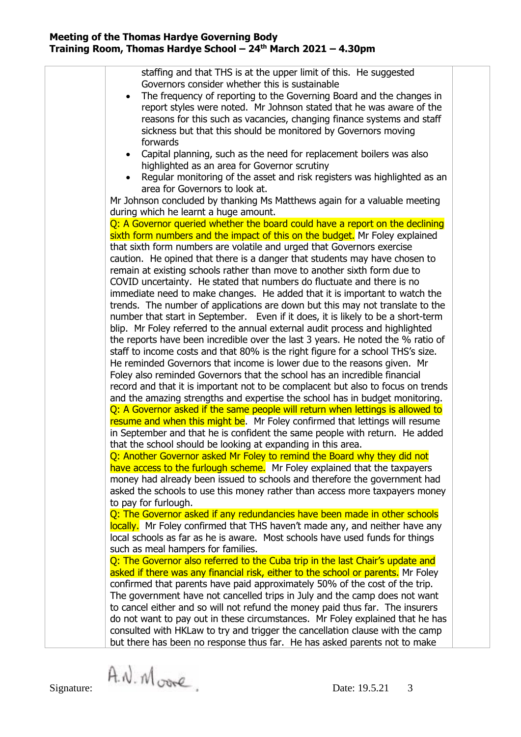| staffing and that THS is at the upper limit of this. He suggested                |  |
|----------------------------------------------------------------------------------|--|
| Governors consider whether this is sustainable                                   |  |
| The frequency of reporting to the Governing Board and the changes in             |  |
| report styles were noted. Mr Johnson stated that he was aware of the             |  |
| reasons for this such as vacancies, changing finance systems and staff           |  |
| sickness but that this should be monitored by Governors moving                   |  |
| forwards                                                                         |  |
| Capital planning, such as the need for replacement boilers was also              |  |
| highlighted as an area for Governor scrutiny                                     |  |
| Regular monitoring of the asset and risk registers was highlighted as an         |  |
| area for Governors to look at.                                                   |  |
| Mr Johnson concluded by thanking Ms Matthews again for a valuable meeting        |  |
| during which he learnt a huge amount.                                            |  |
| Q: A Governor queried whether the board could have a report on the declining     |  |
| sixth form numbers and the impact of this on the budget. Mr Foley explained      |  |
| that sixth form numbers are volatile and urged that Governors exercise           |  |
| caution. He opined that there is a danger that students may have chosen to       |  |
| remain at existing schools rather than move to another sixth form due to         |  |
| COVID uncertainty. He stated that numbers do fluctuate and there is no           |  |
| immediate need to make changes. He added that it is important to watch the       |  |
| trends. The number of applications are down but this may not translate to the    |  |
| number that start in September. Even if it does, it is likely to be a short-term |  |
| blip. Mr Foley referred to the annual external audit process and highlighted     |  |
| the reports have been incredible over the last 3 years. He noted the % ratio of  |  |
| staff to income costs and that 80% is the right figure for a school THS's size.  |  |
| He reminded Governors that income is lower due to the reasons given. Mr          |  |
| Foley also reminded Governors that the school has an incredible financial        |  |
| record and that it is important not to be complacent but also to focus on trends |  |
| and the amazing strengths and expertise the school has in budget monitoring.     |  |
| Q: A Governor asked if the same people will return when lettings is allowed to   |  |
| resume and when this might be. Mr Foley confirmed that lettings will resume      |  |
| in September and that he is confident the same people with return. He added      |  |
| that the school should be looking at expanding in this area.                     |  |
| Q: Another Governor asked Mr Foley to remind the Board why they did not          |  |
| have access to the furlough scheme. Mr Foley explained that the taxpayers        |  |
| money had already been issued to schools and therefore the government had        |  |
| asked the schools to use this money rather than access more taxpayers money      |  |
| to pay for furlough.                                                             |  |
| Q: The Governor asked if any redundancies have been made in other schools        |  |
| locally. Mr Foley confirmed that THS haven't made any, and neither have any      |  |
| local schools as far as he is aware. Most schools have used funds for things     |  |
| such as meal hampers for families.                                               |  |
| Q: The Governor also referred to the Cuba trip in the last Chair's update and    |  |
| asked if there was any financial risk, either to the school or parents. Mr Foley |  |
| confirmed that parents have paid approximately 50% of the cost of the trip.      |  |
| The government have not cancelled trips in July and the camp does not want       |  |
| to cancel either and so will not refund the money paid thus far. The insurers    |  |
| do not want to pay out in these circumstances. Mr Foley explained that he has    |  |
| consulted with HKLaw to try and trigger the cancellation clause with the camp    |  |
| but there has been no response thus far. He has asked parents not to make        |  |
|                                                                                  |  |
|                                                                                  |  |

Signature:  $\hat{A}$ .  $\hat{N}$  or  $\hat{C}$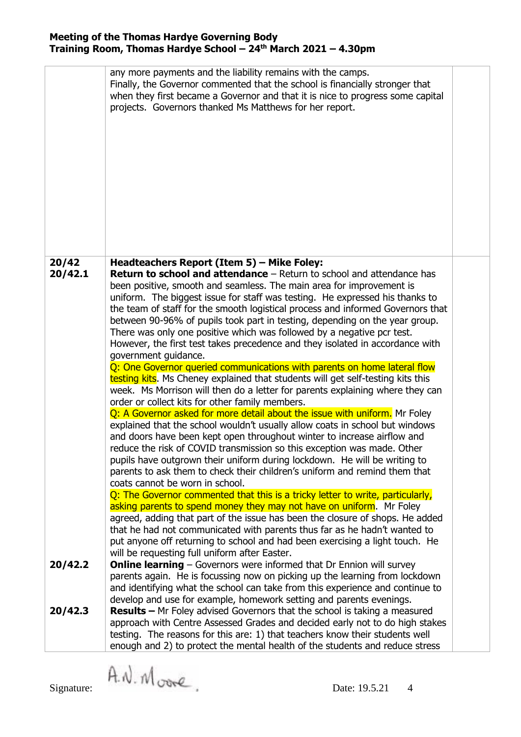|         | any more payments and the liability remains with the camps.<br>Finally, the Governor commented that the school is financially stronger that<br>when they first became a Governor and that it is nice to progress some capital<br>projects. Governors thanked Ms Matthews for her report.                                                                                                                                                                                                                                                                                                                                                                                                                                                                                                                                                                                                                                                                                                                                                                                                                                                                                                                                                                                                                                                                                                                       |  |
|---------|----------------------------------------------------------------------------------------------------------------------------------------------------------------------------------------------------------------------------------------------------------------------------------------------------------------------------------------------------------------------------------------------------------------------------------------------------------------------------------------------------------------------------------------------------------------------------------------------------------------------------------------------------------------------------------------------------------------------------------------------------------------------------------------------------------------------------------------------------------------------------------------------------------------------------------------------------------------------------------------------------------------------------------------------------------------------------------------------------------------------------------------------------------------------------------------------------------------------------------------------------------------------------------------------------------------------------------------------------------------------------------------------------------------|--|
| 20/42   | Headteachers Report (Item 5) - Mike Foley:                                                                                                                                                                                                                                                                                                                                                                                                                                                                                                                                                                                                                                                                                                                                                                                                                                                                                                                                                                                                                                                                                                                                                                                                                                                                                                                                                                     |  |
| 20/42.1 | <b>Return to school and attendance</b> – Return to school and attendance has<br>been positive, smooth and seamless. The main area for improvement is<br>uniform. The biggest issue for staff was testing. He expressed his thanks to<br>the team of staff for the smooth logistical process and informed Governors that<br>between 90-96% of pupils took part in testing, depending on the year group.<br>There was only one positive which was followed by a negative pcr test.<br>However, the first test takes precedence and they isolated in accordance with<br>government guidance.<br>Q: One Governor queried communications with parents on home lateral flow<br>testing kits. Ms Cheney explained that students will get self-testing kits this<br>week. Ms Morrison will then do a letter for parents explaining where they can<br>order or collect kits for other family members.<br>Q: A Governor asked for more detail about the issue with uniform. Mr Foley<br>explained that the school wouldn't usually allow coats in school but windows<br>and doors have been kept open throughout winter to increase airflow and<br>reduce the risk of COVID transmission so this exception was made. Other<br>pupils have outgrown their uniform during lockdown. He will be writing to<br>parents to ask them to check their children's uniform and remind them that<br>coats cannot be worn in school. |  |
|         | Q: The Governor commented that this is a tricky letter to write, particularly,<br>asking parents to spend money they may not have on uniform. Mr Foley<br>agreed, adding that part of the issue has been the closure of shops. He added<br>that he had not communicated with parents thus far as he hadn't wanted to<br>put anyone off returning to school and had been exercising a light touch. He                                                                                                                                                                                                                                                                                                                                                                                                                                                                                                                                                                                                                                                                                                                                                                                                                                                                                                                                                                                                           |  |
|         | will be requesting full uniform after Easter.                                                                                                                                                                                                                                                                                                                                                                                                                                                                                                                                                                                                                                                                                                                                                                                                                                                                                                                                                                                                                                                                                                                                                                                                                                                                                                                                                                  |  |
| 20/42.2 | <b>Online learning</b> – Governors were informed that Dr Ennion will survey<br>parents again. He is focussing now on picking up the learning from lockdown<br>and identifying what the school can take from this experience and continue to<br>develop and use for example, homework setting and parents evenings.                                                                                                                                                                                                                                                                                                                                                                                                                                                                                                                                                                                                                                                                                                                                                                                                                                                                                                                                                                                                                                                                                             |  |
| 20/42.3 | <b>Results</b> – Mr Foley advised Governors that the school is taking a measured<br>approach with Centre Assessed Grades and decided early not to do high stakes<br>testing. The reasons for this are: 1) that teachers know their students well<br>enough and 2) to protect the mental health of the students and reduce stress                                                                                                                                                                                                                                                                                                                                                                                                                                                                                                                                                                                                                                                                                                                                                                                                                                                                                                                                                                                                                                                                               |  |

Signature:  $\hat{A}$ .  $\hat{N}$  or  $\hat{C}$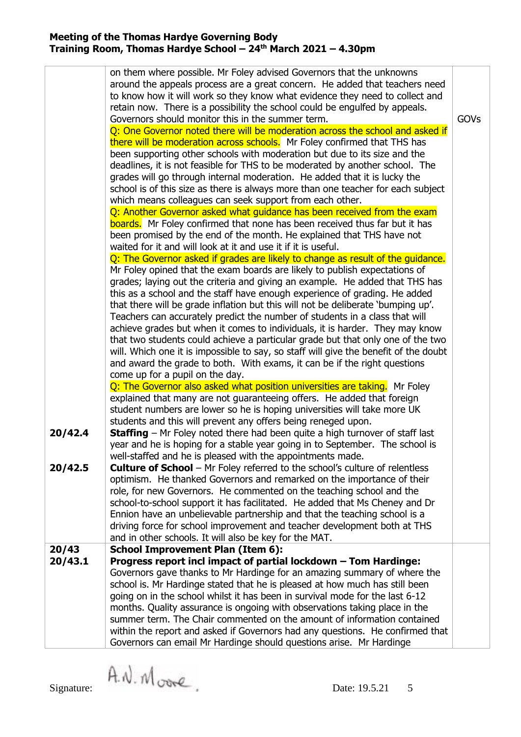|                    | on them where possible. Mr Foley advised Governors that the unknowns<br>around the appeals process are a great concern. He added that teachers need<br>to know how it will work so they know what evidence they need to collect and<br>retain now. There is a possibility the school could be engulfed by appeals.<br>Governors should monitor this in the summer term.<br>Q: One Governor noted there will be moderation across the school and asked if<br>there will be moderation across schools. Mr Foley confirmed that THS has<br>been supporting other schools with moderation but due to its size and the<br>deadlines, it is not feasible for THS to be moderated by another school. The<br>grades will go through internal moderation. He added that it is lucky the<br>school is of this size as there is always more than one teacher for each subject<br>which means colleagues can seek support from each other.<br>Q: Another Governor asked what guidance has been received from the exam<br><b>boards.</b> Mr Foley confirmed that none has been received thus far but it has<br>been promised by the end of the month. He explained that THS have not | GOVs |
|--------------------|-------------------------------------------------------------------------------------------------------------------------------------------------------------------------------------------------------------------------------------------------------------------------------------------------------------------------------------------------------------------------------------------------------------------------------------------------------------------------------------------------------------------------------------------------------------------------------------------------------------------------------------------------------------------------------------------------------------------------------------------------------------------------------------------------------------------------------------------------------------------------------------------------------------------------------------------------------------------------------------------------------------------------------------------------------------------------------------------------------------------------------------------------------------------------|------|
|                    | waited for it and will look at it and use it if it is useful.<br>Q: The Governor asked if grades are likely to change as result of the quidance.<br>Mr Foley opined that the exam boards are likely to publish expectations of<br>grades; laying out the criteria and giving an example. He added that THS has<br>this as a school and the staff have enough experience of grading. He added<br>that there will be grade inflation but this will not be deliberate 'bumping up'.<br>Teachers can accurately predict the number of students in a class that will<br>achieve grades but when it comes to individuals, it is harder. They may know<br>that two students could achieve a particular grade but that only one of the two<br>will. Which one it is impossible to say, so staff will give the benefit of the doubt<br>and award the grade to both. With exams, it can be if the right questions<br>come up for a pupil on the day.                                                                                                                                                                                                                              |      |
| 20/42.4<br>20/42.5 | Q: The Governor also asked what position universities are taking. Mr Foley<br>explained that many are not guaranteeing offers. He added that foreign<br>student numbers are lower so he is hoping universities will take more UK<br>students and this will prevent any offers being reneged upon.<br><b>Staffing</b> – Mr Foley noted there had been quite a high turnover of staff last<br>year and he is hoping for a stable year going in to September. The school is<br>well-staffed and he is pleased with the appointments made.<br><b>Culture of School</b> - Mr Foley referred to the school's culture of relentless<br>optimism. He thanked Governors and remarked on the importance of their<br>role, for new Governors. He commented on the teaching school and the<br>school-to-school support it has facilitated. He added that Ms Cheney and Dr<br>Ennion have an unbelievable partnership and that the teaching school is a<br>driving force for school improvement and teacher development both at THS                                                                                                                                                  |      |
| 20/43<br>20/43.1   | and in other schools. It will also be key for the MAT.<br><b>School Improvement Plan (Item 6):</b><br>Progress report incl impact of partial lockdown - Tom Hardinge:<br>Governors gave thanks to Mr Hardinge for an amazing summary of where the<br>school is. Mr Hardinge stated that he is pleased at how much has still been<br>going on in the school whilst it has been in survival mode for the last 6-12<br>months. Quality assurance is ongoing with observations taking place in the<br>summer term. The Chair commented on the amount of information contained<br>within the report and asked if Governors had any questions. He confirmed that<br>Governors can email Mr Hardinge should questions arise. Mr Hardinge                                                                                                                                                                                                                                                                                                                                                                                                                                       |      |

Signature:  $\hat{A}$ .  $\hat{N}$  or  $\hat{C}$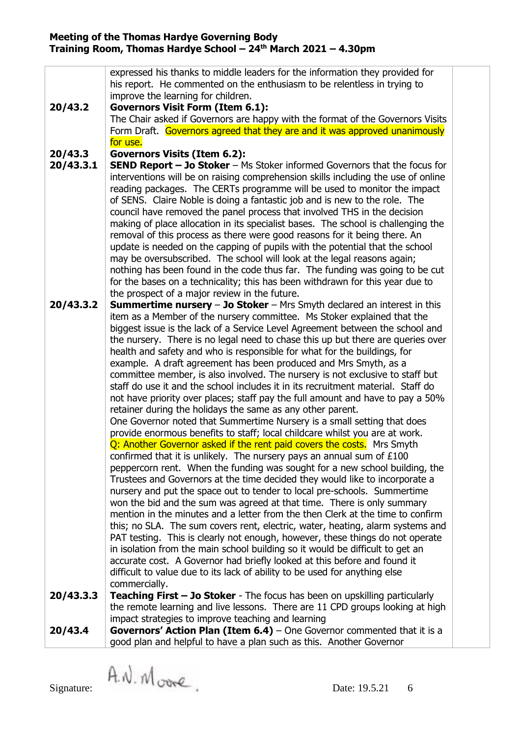|           | expressed his thanks to middle leaders for the information they provided for                                                                                                                                                  |  |  |  |
|-----------|-------------------------------------------------------------------------------------------------------------------------------------------------------------------------------------------------------------------------------|--|--|--|
|           | his report. He commented on the enthusiasm to be relentless in trying to                                                                                                                                                      |  |  |  |
|           | improve the learning for children.                                                                                                                                                                                            |  |  |  |
| 20/43.2   | <b>Governors Visit Form (Item 6.1):</b>                                                                                                                                                                                       |  |  |  |
|           | The Chair asked if Governors are happy with the format of the Governors Visits<br>Form Draft. Governors agreed that they are and it was approved unanimously                                                                  |  |  |  |
| for use.  |                                                                                                                                                                                                                               |  |  |  |
| 20/43.3   | <b>Governors Visits (Item 6.2):</b>                                                                                                                                                                                           |  |  |  |
| 20/43.3.1 | SEND Report - Jo Stoker - Ms Stoker informed Governors that the focus for                                                                                                                                                     |  |  |  |
|           | interventions will be on raising comprehension skills including the use of online                                                                                                                                             |  |  |  |
|           | reading packages. The CERTs programme will be used to monitor the impact                                                                                                                                                      |  |  |  |
|           | of SENS. Claire Noble is doing a fantastic job and is new to the role. The                                                                                                                                                    |  |  |  |
|           | council have removed the panel process that involved THS in the decision                                                                                                                                                      |  |  |  |
|           | making of place allocation in its specialist bases. The school is challenging the                                                                                                                                             |  |  |  |
|           | removal of this process as there were good reasons for it being there. An                                                                                                                                                     |  |  |  |
|           | update is needed on the capping of pupils with the potential that the school<br>may be oversubscribed. The school will look at the legal reasons again;                                                                       |  |  |  |
|           | nothing has been found in the code thus far. The funding was going to be cut                                                                                                                                                  |  |  |  |
|           | for the bases on a technicality; this has been withdrawn for this year due to                                                                                                                                                 |  |  |  |
|           | the prospect of a major review in the future.                                                                                                                                                                                 |  |  |  |
| 20/43.3.2 | <b>Summertime nursery - Jo Stoker - Mrs Smyth declared an interest in this</b>                                                                                                                                                |  |  |  |
|           | item as a Member of the nursery committee. Ms Stoker explained that the                                                                                                                                                       |  |  |  |
|           | biggest issue is the lack of a Service Level Agreement between the school and                                                                                                                                                 |  |  |  |
|           | the nursery. There is no legal need to chase this up but there are queries over                                                                                                                                               |  |  |  |
|           | health and safety and who is responsible for what for the buildings, for<br>example. A draft agreement has been produced and Mrs Smyth, as a<br>committee member, is also involved. The nursery is not exclusive to staff but |  |  |  |
|           |                                                                                                                                                                                                                               |  |  |  |
|           | staff do use it and the school includes it in its recruitment material. Staff do                                                                                                                                              |  |  |  |
|           | not have priority over places; staff pay the full amount and have to pay a 50%                                                                                                                                                |  |  |  |
|           | retainer during the holidays the same as any other parent.                                                                                                                                                                    |  |  |  |
|           | One Governor noted that Summertime Nursery is a small setting that does                                                                                                                                                       |  |  |  |
|           | provide enormous benefits to staff; local childcare whilst you are at work.                                                                                                                                                   |  |  |  |
|           | Q: Another Governor asked if the rent paid covers the costs. Mrs Smyth                                                                                                                                                        |  |  |  |
|           | confirmed that it is unlikely. The nursery pays an annual sum of $£100$                                                                                                                                                       |  |  |  |
|           | peppercorn rent. When the funding was sought for a new school building, the<br>Trustees and Governors at the time decided they would like to incorporate a                                                                    |  |  |  |
|           | nursery and put the space out to tender to local pre-schools. Summertime                                                                                                                                                      |  |  |  |
|           | won the bid and the sum was agreed at that time. There is only summary                                                                                                                                                        |  |  |  |
|           | mention in the minutes and a letter from the then Clerk at the time to confirm                                                                                                                                                |  |  |  |
|           | this; no SLA. The sum covers rent, electric, water, heating, alarm systems and                                                                                                                                                |  |  |  |
|           | PAT testing. This is clearly not enough, however, these things do not operate                                                                                                                                                 |  |  |  |
|           | in isolation from the main school building so it would be difficult to get an                                                                                                                                                 |  |  |  |
|           | accurate cost. A Governor had briefly looked at this before and found it                                                                                                                                                      |  |  |  |
|           | difficult to value due to its lack of ability to be used for anything else                                                                                                                                                    |  |  |  |
|           | commercially.                                                                                                                                                                                                                 |  |  |  |
| 20/43.3.3 | <b>Teaching First - Jo Stoker</b> - The focus has been on upskilling particularly<br>the remote learning and live lessons. There are 11 CPD groups looking at high                                                            |  |  |  |
|           | impact strategies to improve teaching and learning                                                                                                                                                                            |  |  |  |
| 20/43.4   | <b>Governors' Action Plan (Item 6.4)</b> – One Governor commented that it is a                                                                                                                                                |  |  |  |
|           | good plan and helpful to have a plan such as this. Another Governor                                                                                                                                                           |  |  |  |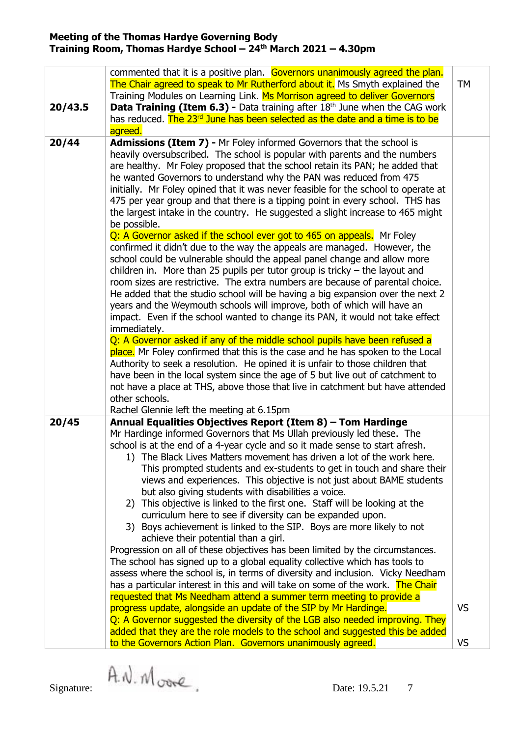| 20/43.5 | commented that it is a positive plan. Governors unanimously agreed the plan.<br>The Chair agreed to speak to Mr Rutherford about it. Ms Smyth explained the<br>Training Modules on Learning Link. Ms Morrison agreed to deliver Governors<br><b>Data Training (Item 6.3) -</b> Data training after $18th$ June when the CAG work<br>has reduced. The 23rd June has been selected as the date and a time is to be<br>agreed.                                                                                                                                                                                                                                                                                                                                                                                                                                                                                                                                                                                                                                                                                                                                                      | <b>TM</b>       |
|---------|----------------------------------------------------------------------------------------------------------------------------------------------------------------------------------------------------------------------------------------------------------------------------------------------------------------------------------------------------------------------------------------------------------------------------------------------------------------------------------------------------------------------------------------------------------------------------------------------------------------------------------------------------------------------------------------------------------------------------------------------------------------------------------------------------------------------------------------------------------------------------------------------------------------------------------------------------------------------------------------------------------------------------------------------------------------------------------------------------------------------------------------------------------------------------------|-----------------|
| 20/44   | <b>Admissions (Item 7) - Mr Foley informed Governors that the school is</b><br>heavily oversubscribed. The school is popular with parents and the numbers<br>are healthy. Mr Foley proposed that the school retain its PAN; he added that<br>he wanted Governors to understand why the PAN was reduced from 475<br>initially. Mr Foley opined that it was never feasible for the school to operate at<br>475 per year group and that there is a tipping point in every school. THS has<br>the largest intake in the country. He suggested a slight increase to 465 might<br>be possible.<br>Q: A Governor asked if the school ever got to 465 on appeals. Mr Foley                                                                                                                                                                                                                                                                                                                                                                                                                                                                                                               |                 |
|         | confirmed it didn't due to the way the appeals are managed. However, the<br>school could be vulnerable should the appeal panel change and allow more<br>children in. More than 25 pupils per tutor group is tricky $-$ the layout and<br>room sizes are restrictive. The extra numbers are because of parental choice.<br>He added that the studio school will be having a big expansion over the next 2<br>years and the Weymouth schools will improve, both of which will have an<br>impact. Even if the school wanted to change its PAN, it would not take effect<br>immediately.                                                                                                                                                                                                                                                                                                                                                                                                                                                                                                                                                                                             |                 |
|         | Q: A Governor asked if any of the middle school pupils have been refused a<br>place. Mr Foley confirmed that this is the case and he has spoken to the Local<br>Authority to seek a resolution. He opined it is unfair to those children that<br>have been in the local system since the age of 5 but live out of catchment to<br>not have a place at THS, above those that live in catchment but have attended<br>other schools.<br>Rachel Glennie left the meeting at 6.15pm                                                                                                                                                                                                                                                                                                                                                                                                                                                                                                                                                                                                                                                                                                   |                 |
| 20/45   | Annual Equalities Objectives Report (Item 8) - Tom Hardinge<br>Mr Hardinge informed Governors that Ms Ullah previously led these. The<br>school is at the end of a 4-year cycle and so it made sense to start afresh.<br>1) The Black Lives Matters movement has driven a lot of the work here.<br>This prompted students and ex-students to get in touch and share their<br>views and experiences. This objective is not just about BAME students<br>but also giving students with disabilities a voice.<br>2) This objective is linked to the first one. Staff will be looking at the<br>curriculum here to see if diversity can be expanded upon.<br>3) Boys achievement is linked to the SIP. Boys are more likely to not<br>achieve their potential than a girl.<br>Progression on all of these objectives has been limited by the circumstances.<br>The school has signed up to a global equality collective which has tools to<br>assess where the school is, in terms of diversity and inclusion. Vicky Needham<br>has a particular interest in this and will take on some of the work. The Chair<br>requested that Ms Needham attend a summer term meeting to provide a |                 |
|         | progress update, alongside an update of the SIP by Mr Hardinge.<br>Q: A Governor suggested the diversity of the LGB also needed improving. They<br>added that they are the role models to the school and suggested this be added<br>to the Governors Action Plan. Governors unanimously agreed.                                                                                                                                                                                                                                                                                                                                                                                                                                                                                                                                                                                                                                                                                                                                                                                                                                                                                  | <b>VS</b><br>VS |